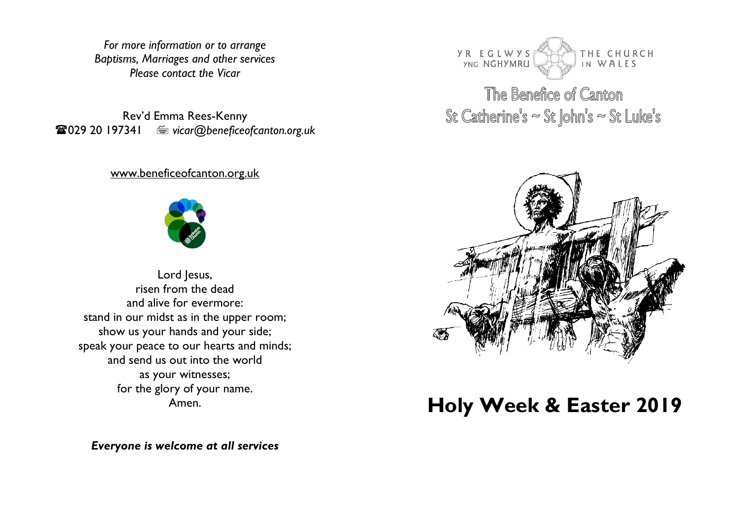*For more information or to arrange Baptisms, Marriages and other services Please contact the Vicar*

Rev'd Emma Rees-Kenny 029 20 197341 *vicar@beneficeofcanton.org.uk*

#### [www.beneficeofcanton.org.uk](http://www.beneficeofcanton.org.uk/)



Lord Jesus, risen from the dead and alive for evermore: stand in our midst as in the upper room; show us your hands and your side; speak your peace to our hearts and minds; and send us out into the world as your witnesses; for the glory of your name. Amen.

*Everyone is welcome at all services*



The Benefice of Canton St Catherine's  $\sim$  St John's  $\sim$  St Luke's



# **Holy Week & Easter 2019**